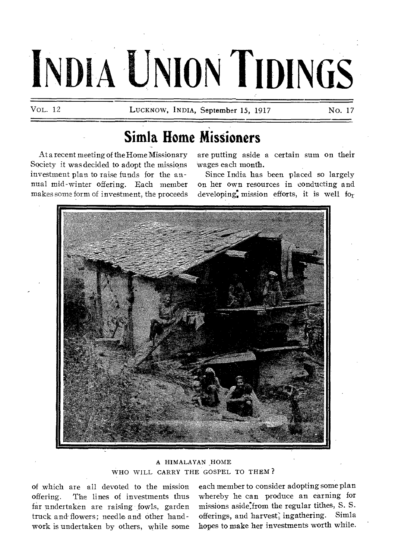# **INDIA UNION TIDINGS**

VOL. 12 **LUCKNOW, INDIA, September 15, 1917** No. 17

# **Simla Home Missioners**

At a recent meeting of the Home Missionary Society it was decided to adopt the missions investment plan to raise funds for the annual mid-winter offering. Each member makes some form of investment, the proceeds

are putting aside a certain sum on their wages each month.

Since India has been placed so largely on her own resources in conducting and developing: mission efforts, it is well for



A HIMALAYAN HOME WHO WILL CARRY THE GOSPEL TO THEM ?

of which are all devoted to the mission offering. The lines of investments thus far undertaken are raising fowls, garden truck and-flowers; needle and other handwork is undertaken by others, while some

each member to consider adopting some plan whereby he can produce an earning for missions aside:from the regular tithes, S. S. offerings, and harvest; ingathering. Simla hopes to make her investments worth while.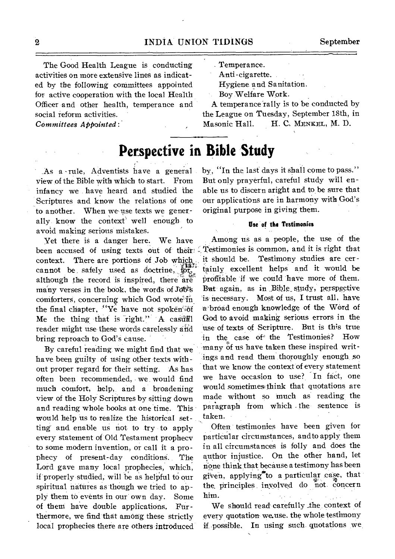The Good Health League is conducting activities on more extensive lines as indicated by the following committees appointed for active cooperation with the local Health Officer and other health, temperance and social reform activities.

*Committees APPointed:* 

Temperance.

Anti -cigarette.

Hygiene and Sanitation.

Boy Welfare Work.

A temperance rally is to be conducted by the League on Tuesday, September 18th, in Masonic Hall. H. C. MENKEL, M. D.

## **Perspective in Bible Study**

,As a -rule, Adventists have a general view of the Bible with which to start. From infancy we have heard and studied the Scriptures and know the relations of one to another. When we use texts we generally know the context well enough to avoid making serious mistakes.

Yet there is a danger here. We have been accused of using texts out of their: context. There are portions of Job which cannot be, safely used as doctrine,  $\phi_{\text{tot}}^{\text{max}}$ although the record is inspired, there are many verses in the book, the words of Job's comforters, concerning which God wrote in the final chapter, "Ye have not spoken" of Me the thing that is  $\text{right."}$  A casuall reader might use these words carelessly and bring reproach to God's cause.

By careful reading, we might find that we have been guilty of using other texts without proper regard for their setting. 'As has often been recommended, we would find much comfort, help, and a broadening view of the Holy Scriptures by sitting down and reading whole books at one time. This would help us to realize the historical setting-and enable us not to try to apply every statement of Old Testament prophecy to some modern invention, or call it a prophecy of present-day conditionS. The Lord gave many local prophecies, which, if properly studied, will be as helpful to our spiritual natures as though we tried to apply them to events in our own day. Some of them have double applications. Furthermore, we find **that among** these strictly local prophecies there are others introduced by, "In the last days it shall come to pass." But only prayerful, careful study will enable us to discern aright and to be sure that our applications are in harmony with God's original purpose in giving them.

### **Use of the Testimonies**

**Among** us as a people, the use of the Testimonies is common, and it is right that it should be. Testimony studies are certainly excellent helps and it would be profitable if we could have more of them. Bat again, as in Bible\_ study, perspective 'is necessary. Most of us, I trust all, have a'broad enough knowledge of the WOrd of God to avoid making serious errors in the use of texts of Scripture. But is this true in the case of the Testimonies? How many of us have taken these inspired writings and read them thoroughly enough, so that we know the context of every statement we have occasion to use? In fact, one would sometimes: think that quotations are made without so much as reading the paragraph from which . the sentence is taken.

Often, testimonies have been given for particular circumstances, and to apply them in all circumstances is folly and does the author injustice. On the other hand, let none think that because a testimony has been given, applying<sup>7</sup> to a particular case, that the principles involved do not concern him.

We should read carefully the context of every quotation- we.use, the whole testimony if possible. **In** using such- quotations we

 $\overline{2}$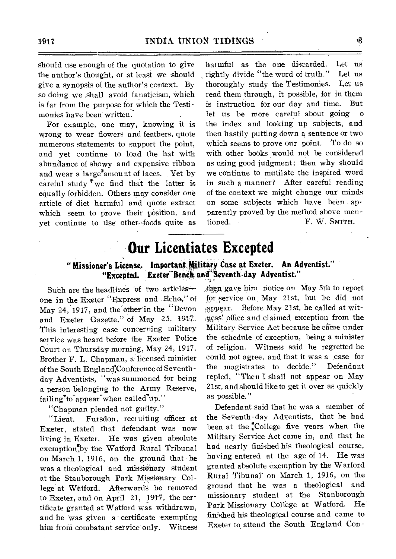should use enough of the quotation to give the author's thought, or at least we should give a synopsis of the author's context. By so doing we .shall avoid fanaticism, which is far from the purpose for which the Testimonies have been written.

For example, one may, knowing it is wrong to wear flowers and feathers, quote numerous statements to support the point, and yet continue to load the hat with abundance of showy and expensive ribbon and wear a large<sup>9</sup>amount of laces. Yet by careful study  $^{\mathbf{F}}$  we find that the latter is equally forbidden. Others may consider one article of diet harmful and quote extract which seem to prove their position, and yet continue to use other-foods quite as harmful as the one discarded. Let us rightly divide "the word of truth." Let us thoroughly study the Testimonies. Let us read them through, it possible, for in them is instruction for our day and time. But let us be more careful about going the index and looking up subjects, and then hastily putting down a sentence or two which seems to prove our point. To do so with other books would not be considered as using good judgment; then why should we continue to mutilate the inspired word in such a manner? After careful reading of the context we might change our minds on some subjects which have been apparently proved by the method above mentioned. F. W. SMITH.

# **Our Licentiates Excepted**

## " Missioner's License. Important Military Case at Exeter. An Adventist." **"Excepted. Exeter-Bench and Seventh-day Adventist."**

Such are the headlines 'of two articles one in the Exeter "Express and Echo," of May 24, 1917, and the other in the "Devon and Exeter Gazette," of May 25, 1917. This interesting case concerning military service was heard before the Exeter Police Court on Thursday morning, May 24, 1917. Brother F. L. Chapman, a licensed minister of the South England. Conference of Seventhday Adventists, "was summoned for being a person belonging to the Army Reserve,  $failing''to" appear" when called''up."$ 

"Chapman pleaded not guilty."

"Lieut. Fursdon, recruiting officer at Exeter, stated that defendant was now living in Exeter. He was given absolute exemption<sup>th</sup>y the Watford Rural Tribunal on March 1, 1916, on the ground that he was a theological and missionary student at the Stanborough Park Missionary College at Watford. Afterwards he removed to Exeter, and on April 21, 1917, the certificate granted at Watford was withdrawn, and he was given a certificate exempting him froni combatant service only. Witness then gave him notice on May 5th to report for service on May 21st, but he did not ;appear. Before May 21st, he called at witess! office and claimed exception from the Military Service Act because he came under the schedule of exception, being a minister of religion. Witness said he regretted he could not agree, and that it was a case for the magistrates to decide." Defendant repled, "Then I shall not appear on May 21st, and should like to get it over as quickly as possible."

Defendant said that he was a member of the Seventh-day Adventists, that he had been at the  $\mathbb{C}$ College five years when the Military Service Act came in, and that he had nearly finished his theological course, having entered at the age of 14. He was granted absolute exemption by the Warford Rural Tibunal on March 1, 1916, on the ground that he was a theological and missionary student at the Stanborough Park Missionary College at Watford. He finished his theological course and came to Exeter to attend the South England Con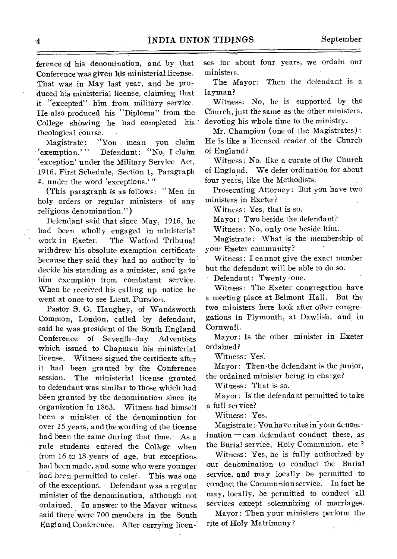ference of his denomination, and by that Conference was given his ministerial license. That was in May last year, and he produced his ministerial license, claiming that it "excepted" him from military service. He also produced his "Diploma" from the College showing he had completed his theological course.

Magistrate: "You mean you claim 'exemption.'" Defendant: "No, I claim `exception' under the Military Service Act, 1916, First Schedule, Section 1, Paragraph 4, under the word 'exceptions.'"

(This paragraph is as follows: " Men in holy orders or regular ministers of any religious denomination.")

Defendant said that since May, 1916, he had been wholly: engaged in ministerial The Watford Tribunal withdrew his absolute exemption certificate because they said they had no authority to decide his standing as a minister, and gave him exemption from combatant service. When he received his calling up notice he went at once to see Lieut. Fursdon.

Pastor S. G. Haughey, of Wandsworth Common, London, called by defendant, said he was president of the South England Conference of Seventh-day Adventists which issued to Chapman his ministerial license. Witness signed the certificate after it had been granted by the Conference session. The ministerial license granted to defendant was similar to those which had been granted by the denomination since its organization in 1863. Witness had himself been a minister of the denomination for over 25 years, and the wording of the license had been the same during that time. As a rule students entered the College when from 16 to 18 years of age, but exceptions had been made, and some who were younger had been permitted to enter. This was one of the exceptions. Defendant was a regular minister of the denomination, although not ordained. In answer to the Mayor witness said there were 700 members in the South England Conference. After carrying licen ses for about four years, we ordain our ministers.

The Mayor: Then the defendant is a layman?

Witness: No, he is supported by the Church, just the same as the other ministers, devoting his whole time to the ministry.

Mr. Champion (one of the Magistrates) : He is like a licensed reader of the Church of England?

Witness: No, like a curate of the Church of England. We defer ordination for about four years, like the Methodists.

Prosecuting Attorney: But you have two ministers in Exeter?

Witness: Yes, that is so.

Mayor: Two beside the defendant?

Witness: No, only one beside him.

Magistrate: What is the membership of your Exeter community?

Witness: I cannot giye the exact number but the defendant will be able to do so.

Defendant: Twenty-one.

Witness: The Exeter congregation have a meeting place at Belmont Hall. But the two ministers here look after other congregations in Plymouth, at Dawlish, and in Cornwall.

Mayor: Is the other minister in Exeter ordained?

Witness: Yes:

Mayor: Then .the defendant is the junior, the ordained minister being in charge?

Witness: That is so.

Mayor: IS the defendant permitted to take a full service?

Witness: Yes.

Magistrate : You have rites in'your denom ination — can defendant conduct these, as the Burial service, Holy Communion, etc.?

Witness: Yes, he is fully authorized by our denomination to conduct the Burial service, and may locally be permitted to conduct the Communion service. In fact he may, locally, be permitted to conduct all services except solemnizing of marriages.

Mayor: Then your ministers perform the rite of Holy Matrimony?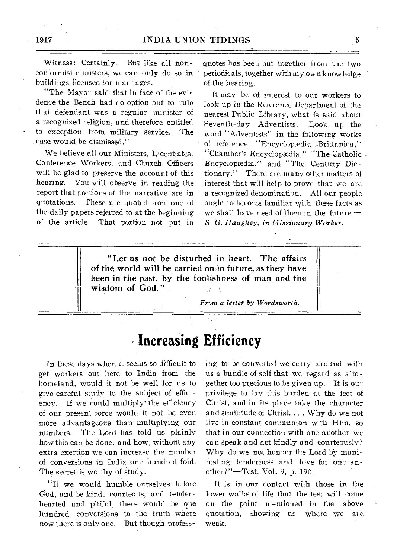Witness: Certainly. But like all nonconformist ministers, we can only do so in buildings licensed for marriages.

"The Mayor said that in face of the evidence the Bench -had no option but to rule that defendant was a regular minister of a recognized religion, and therefore entitled to exception from military service. The case would be dismissed."

We believe all our Ministers, Licentiates, Conference Workers, and Church Officers will be glad to preserve the account of this hearing. You will observe in reading the report that portions of the narrative are in quotations. These are quoted from one of the daily papers referred to at the beginning of the article. That portion not put in quotes has been put together from the two periodicals, together with my own knowledge of the hearing.

It may be of interest to our workers to look up in the Reference Department of the nearest Public Library, what is said about Seventh-day Adventists. Look up the word "Adventists" in the following works of reference, "Encyclopædia Brittanica," "Chamber's Encyclopædia," "The Catholic Encyclopdia," and 'The Century Dictionary." There are many other matters of interest that will help to prove that we are a recognized denomination. All our people ought to become familiar with these facts as we shall have need of them in the future.— *S. G. Haughey, in Missionary Worker.* 

"Let *us* not be disturbed in heart. The affairs of the world will be carried on-in future, as they have been in the past, by the foolishness of man and the wisdom of God."

*From a letter by Wordsworth.* 

**Increasing Efficiency** 

e çw

In these days when it seems so difficult to get workers out here to India from the homeland, would it not be well for us to give careful study to the subject of efficiency. If we could multiply" the efficiency of our present force would it not be even more advantageous than multiplying our numbers. The Lord has told us plainly how this can be done, and how, without any extra exertion we can increase the number of conversions in India one hundred fold. The secret is worthy of study.

"If we would humble ourselves before God, and be kind, courteous, and tenderhearted and pitiful, there would be one hundred conversions to the truth where now there is only one. But though professing to be converted we carry around with us a bundle of self that we regard as altogether too precious to be given up. It is our privilege to lay this burden at the feet of Christ, and in its place take the character and similitude of Christ. .. . Why do we not live in constant communion with Him, so that in our connection with one another we can speak and act kindly and courteously? Why do we not honour the Lord by manifesting tenderness and love for one another?"—Test. Vol. 9, p. 190.

It is in our contact with those in the lower walks of life that the test will come on the point mentioned in the above quotation, showing us where we are weak.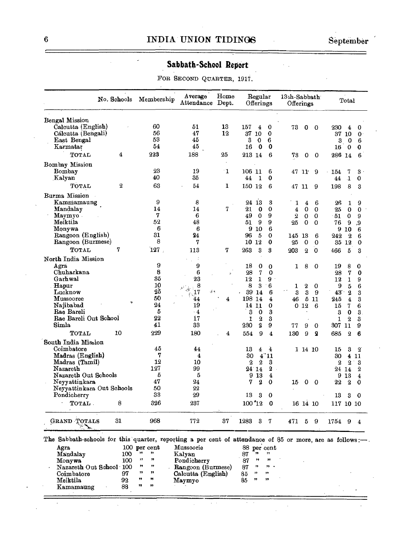## **Sabbath-School Report**

FOR SECOND QUARTER, 1917.

| No. Schools               |                | Membership | Average                    | Home<br>Attendance Dept. | Regular<br>Offerings |                  | 13th-Sabbath<br>Offerings |                  |                         |                              | Total     |                         |                         |
|---------------------------|----------------|------------|----------------------------|--------------------------|----------------------|------------------|---------------------------|------------------|-------------------------|------------------------------|-----------|-------------------------|-------------------------|
| Bengal Mission            |                |            |                            |                          |                      |                  |                           |                  |                         |                              |           |                         |                         |
| Calcutta (English)        |                | 60         | 51                         | 13                       | 157                  | 4                | 0                         | 73               | 0                       | 0                            | 230       | 4                       | 0                       |
| Cálcutta (Bengali)        |                | 56         | 47                         | 12                       | 37 10                |                  | $\mathbf 0$               |                  |                         |                              |           | 37 10                   | 0                       |
| East Bengal               |                | 53         | 45                         |                          | 3                    | $\mathbf 0$      | 6                         |                  |                         |                              | 3         | 0                       | 6                       |
| Karmatar                  |                | 54         | 45                         |                          | 16                   | $\mathbf 0$      | 0                         |                  |                         |                              | 16        | $\overline{\mathbf{0}}$ | 0                       |
| TOTAL                     | 4              | 223        | 188                        | 25                       | 213 14               |                  | 6                         | 73               | 0                       | 0                            | 286 14    |                         | 6                       |
| Bombay Mission            |                |            |                            |                          |                      |                  |                           |                  |                         |                              |           |                         |                         |
| Bombay                    |                | 23         | 19                         | -1                       | 106 11               |                  | 6                         |                  | 47 11                   | 9                            | 154       | 7                       | 3                       |
| Kalyan                    |                | 40         | 35                         |                          | 44                   | 1                | 0                         |                  |                         |                              | 44        | 1                       | 0                       |
| TOTAL                     | $\overline{2}$ | 63         | 54                         | 1                        | 150 12               |                  | 6                         |                  | 47 11                   | 9                            | 198       | 8                       | 3                       |
| Burma Mission             |                |            |                            |                          |                      |                  |                           |                  |                         |                              |           |                         |                         |
| Kammamaung                |                | 9          | 8                          |                          | 24                   | 13               | 3                         | 1                | $\overline{\mathbf{4}}$ | 6                            | 26        | 1                       | 9                       |
| Mandalay                  |                | 14         | 14                         | 7                        | 21                   | 0                | $\Omega$                  | 4                | 0                       | 0                            | 25        | $\Omega$                | $\bf{0}$                |
| Maymyo .                  |                | 7          | 6                          |                          | 49                   | $\mathbf 0$      | 9                         | $\boldsymbol{2}$ | 0                       | 0                            | 51        | $\mathbf 0$             | 9                       |
| Meiktila                  |                | 52         | 48                         |                          | 51                   | 9                | 9                         | 25               | $\Omega$                | 0                            | 76        | 9                       | .9                      |
| Monywa                    |                | 6          | 6                          |                          | 9                    | 10               | 6                         |                  |                         |                              |           | 910                     | 6                       |
| Rangoon (English)         |                | 31         | 24                         |                          | 96                   | 5                | 0                         | 145 13           |                         | 6                            | 242       | $\mathbf{2}$            | 6                       |
| Rangoon (Burmese)         |                | 8          | 7                          |                          | 10 12                |                  | 0                         | 25               | 0                       | 0                            |           | 35 12                   | 0                       |
| TOTAL                     | 7              | $127$ .    | 113                        | 7                        | 263                  | 3                | 3                         | 203              | $\overline{2}$          | $\Omega$                     | 466       | 5                       | 3                       |
| North India Mission       |                |            |                            |                          |                      |                  |                           |                  |                         |                              |           |                         |                         |
| Agra                      |                | 9          | 9                          |                          | 18                   | 0                | $\bf{0}$                  | 1                | 8                       | 0                            | 19        | 8                       | 0                       |
| Chuharkana                |                | 8          | 6                          |                          | 28                   | 7                | $\mathbf 0$               |                  |                         |                              | 28        | 7                       | 0                       |
| Garhwal                   |                | 35         | 23                         |                          | 12                   | $\mathbf{1}$     | 9                         |                  |                         |                              | 12        | $\mathbf{I}$            | 9                       |
| Hapur                     |                | 10         | $\frac{1}{2}$ 8            |                          | 8                    | 3                | 6                         | 1                | 2                       | 0                            | 9         | 5                       | 6                       |
| Lucknow                   |                | 25         | $\hat{\vec{\sigma}}$<br>17 | ءِ تي                    | 39                   | 14               | 6                         | 3                | 3                       | 9                            | 43        | $\overline{2}$          | 3                       |
| Mussooree                 |                | 50         | 44                         | 4                        | 198                  | 14               | $\overline{4}$            | 46               |                         | 5 11                         | 245       | $\overline{4}$          | 3                       |
| Najibabad                 |                | 24         | 19                         |                          | 14                   | 11               | $\Omega$                  |                  | 012                     | 6                            |           | 7                       | 6                       |
| Rae Bareli                |                | 5          | $\cdot$ 4                  |                          | 3                    | $\mathbf 0$      | 3                         |                  |                         |                              | 15<br>3   | 0                       |                         |
| Rae Bareli Out School     |                | 22         | 17                         |                          | 1                    | $\bf{2}$         | 3                         |                  |                         |                              | 1         | $\mathbf{2}$            | 3.<br>3                 |
| Simla                     |                | 41         | 33                         |                          |                      | $\overline{2}$   | 9                         |                  |                         |                              |           |                         |                         |
| TOTAL                     | 10             | 229        | 180                        | $\overline{\mathbf{4}}$  | 230<br>554           | 9                |                           | 77<br>130        | 9<br>9                  | 0<br>$\overline{\mathbf{2}}$ | 307 11    | $\overline{2}$          | 9<br>6                  |
|                           |                |            |                            |                          |                      |                  | $\overline{4}$            |                  |                         |                              | 685       |                         |                         |
| South India Mission       |                | 45         |                            |                          |                      |                  |                           |                  |                         |                              |           |                         |                         |
| Coimbatore                |                | 7          | 44                         |                          | 13                   | 4                | 4                         |                  | 1 14 10                 |                              | 15        | 3                       | $\boldsymbol{2}$        |
| Madras (English)          |                |            | 4                          |                          | 30                   | 4.11             |                           |                  |                         |                              | 30        | 4                       | 11                      |
| Madras (Tamil)            |                | 12<br>127  | 10                         |                          | $\mathbf 2$          | $\boldsymbol{2}$ | 3                         |                  |                         |                              | $\bf{2}$  | $\overline{2}$          | 3                       |
| Nazareth                  |                |            | 99                         |                          | $24^{\degree}14$     |                  | 2                         |                  |                         |                              |           | 24 14                   | 2                       |
| Nazareth Out Schools      |                | 5          | 5                          |                          |                      | 913              | $\overline{\mathbf{4}}$   |                  |                         |                              |           | 9 <sub>13</sub>         | $\overline{\mathbf{4}}$ |
| Neyyattinkara             |                | 47         | 24                         |                          | 7                    | 2                | 0                         | 15               | $\mathbf{0}$            | $\mathbf 0$                  | 22        | $^{\circ}$              | 0                       |
| Neyyattinkara Out Schools |                | 50         | 22                         |                          |                      |                  |                           |                  |                         |                              |           |                         |                         |
| Pondicherry               |                | 33<br>326  | 29                         |                          | 13                   | З                | 0                         |                  |                         |                              | 13        | 3                       | 0                       |
| TOTAL.                    | 8              |            | 237                        |                          | 100'12               |                  | $\mathbf 0$               |                  | 16 14 10                |                              | 117 10 10 |                         |                         |
| <b>GRAND TOTALS</b>       | 31             | 968        | 772                        | 37                       | 1283                 | 3                | 7                         | 471              | 5                       | 9                            | 1754      | 9                       | 4                       |

Agra 100 per cent Mussoorie 188 per cent Mandalay 100 *ft \*\*\** /\*\*\*<br>Mandalay 100 \*\*\* \*\*\* Kalyan 187 \*\*\* \*\*\* Monywa 100 **"** Example to Book to the Monywa 100 " " Pondicherry 87 " " - Nazareth Out School 100 " " Rangoon (Burmese) 87 " " -Coimbatore 97 " " Calcutta (English) 85 " Meiktila 92 " **"** Maymyo 85 **<sup>f</sup>***ft*  Meiktila 92 " "<br>Kamamaung 88 " "

 $\tau$  .

 $\bar{z}$ 

 $\cdot$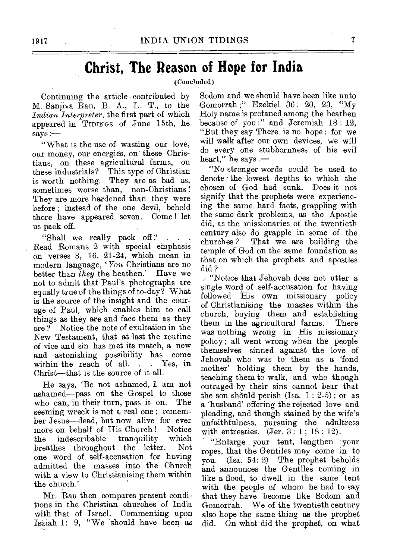## **Christ, The Reason of Hope for India**

(Concluded)

Continuing the article contributed by M. Sanjiva Rau, B. A., L. T., to the *\_Indian Interpreter,* the first part of which appeared in TIDINGS of June 15th, he says :—

"What is the use of wasting our love, our money, our energies, on these Christians, on these agricultural farms, on these industrials? This type of Christian is worth nothing. They are as bad as, sometimes worse than, non-Christians ! They are more hardened than they were before ; instead of the one devil, behold there have appeared seven. Come ! let us pack off.

"Shall we really pack off? Read Romans 2 with special emphasis on verses 3, 16, 21-24, which mean in modern language, 'You Christians are no better than *they* the heathen.' Have we not to admit that Paul's photographs are equally true of the things of to-day? What is the source of the insight and the courage of Paul, which enables him to call things as they are and face them as they are ? Notice the note of exultation in the New Testament, that at last the routine of vice and sin has met its match, a new and astonishing possibility has come within the reach of all. . . Yes, in Christ—that is the source of it all.

He says, 'Be not ashamed, I am not ashamed—pass on the Gospel to those<br>who can in their turn, pass it on. The who can, in their turn, pass it on. seeming wreck is not a real one ; remember Jesus—dead, but now alive for ever more on behalf of His Church! Notice<br>the indescribable tranquility which the indescribable tranquility which<br>breathes throughout the letter. Not breathes throughout the letter. one word of self-accusation for having admitted the masses into the Church with a view to Christianising them within the church.'

Mr. Rau then compares present conditions in the Christian churches of India with that of Israel. Commenting upon Isaiah 1: 9, "We 'should have been as

Sodom and we should have been like unto Gomorrah ;" Ezekiel 36 : 20, 23, "My Holy name is profaned among the heathen because of you :" and Jeremiah 18:12. "But they say There is no hope : for we will walk after our own devices, we will do every one stubbornness of his evil heart," he says :—

"No stronger words could be used to denote the lowest depths to which the chosen of God had sunk. Does it not signify that the prophets were experiencing the same hard facts, grappling with the same dark problems, as the Apostle did, as the missionaries of the twentieth century also do grapple in some of the That we are building the temple of God on the same foundation as that on which the prophets and apostles did ?

"Notice that Jehovah does not utter a single word of self-accusation for having followed His own missionary policy of Christianising the masses within the church, buying them and establishing them in the agricultural farms. There was nothing wrong in His missionary policy; all went wrong when the people themselves sinned against the love of Jehovah who was to them as a 'fond mother' holding them by the hands, teaching them to walk, and who though outraged by their sins cannot bear that the son should perish (Isa.  $1: 2-5$ ); or as a 'husband' offering the rejected love and pleading, and though stained by the wife's unfaithfulness, pursuing the adultress with entreaties.  $(Jer. 3: 1; 18: 12)$ .

"Enlarge your tent, lengthen your ropes, that the Gentiles may come in to you. (Isa. 54: 2) The prophet beholds and announces the Gentiles coming in like a flood, to dwell in the same tent with the people of whom he had to say that they have become like Sodom and Gomorrah. We of the twentieth century also hope the same thing as the prophet did. On what did the prophet, on what